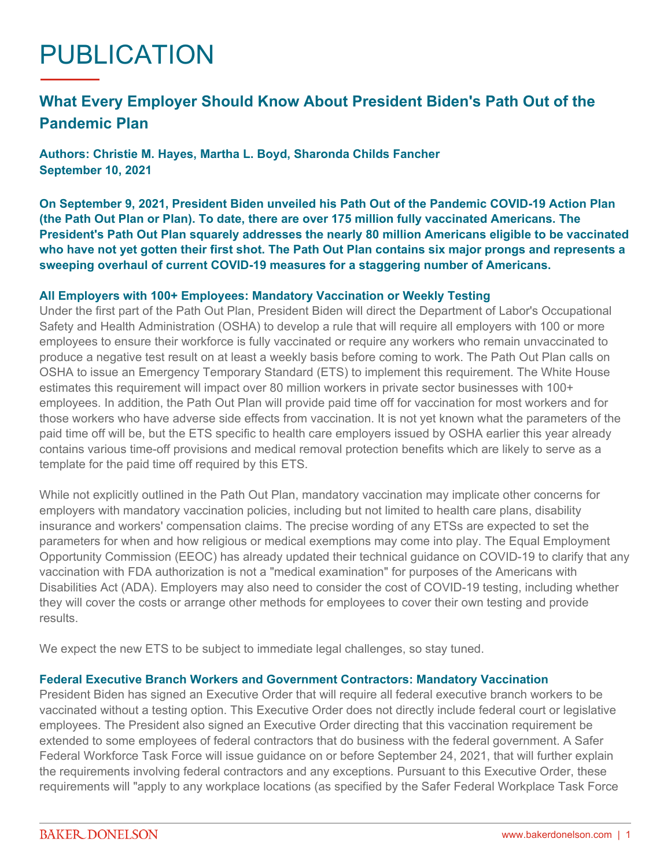# PUBLICATION

# **What Every Employer Should Know About President Biden's Path Out of the Pandemic Plan**

**Authors: Christie M. Hayes, Martha L. Boyd, Sharonda Childs Fancher September 10, 2021**

**On September 9, 2021, President Biden unveiled his Path Out of the Pandemic COVID-19 Action Plan (the Path Out Plan or Plan). To date, there are over 175 million fully vaccinated Americans. The President's Path Out Plan squarely addresses the nearly 80 million Americans eligible to be vaccinated who have not yet gotten their first shot. The Path Out Plan contains six major prongs and represents a sweeping overhaul of current COVID-19 measures for a staggering number of Americans.**

#### **All Employers with 100+ Employees: Mandatory Vaccination or Weekly Testing**

Under the first part of the Path Out Plan, President Biden will direct the Department of Labor's Occupational Safety and Health Administration (OSHA) to develop a rule that will require all employers with 100 or more employees to ensure their workforce is fully vaccinated or require any workers who remain unvaccinated to produce a negative test result on at least a weekly basis before coming to work. The Path Out Plan calls on OSHA to issue an Emergency Temporary Standard (ETS) to implement this requirement. The White House estimates this requirement will impact over 80 million workers in private sector businesses with 100+ employees. In addition, the Path Out Plan will provide paid time off for vaccination for most workers and for those workers who have adverse side effects from vaccination. It is not yet known what the parameters of the paid time off will be, but the ETS specific to health care employers issued by OSHA earlier this year already contains various time-off provisions and medical removal protection benefits which are likely to serve as a template for the paid time off required by this ETS.

While not explicitly outlined in the Path Out Plan, mandatory vaccination may implicate other concerns for employers with mandatory vaccination policies, including but not limited to health care plans, disability insurance and workers' compensation claims. The precise wording of any ETSs are expected to set the parameters for when and how religious or medical exemptions may come into play. The Equal Employment Opportunity Commission (EEOC) has already updated their technical guidance on COVID-19 to clarify that any vaccination with FDA authorization is not a "medical examination" for purposes of the Americans with Disabilities Act (ADA). Employers may also need to consider the cost of COVID-19 testing, including whether they will cover the costs or arrange other methods for employees to cover their own testing and provide results.

We expect the new ETS to be subject to immediate legal challenges, so stay tuned.

#### **Federal Executive Branch Workers and Government Contractors: Mandatory Vaccination**

President Biden has signed an Executive Order that will require all federal executive branch workers to be vaccinated without a testing option. This Executive Order does not directly include federal court or legislative employees. The President also signed an Executive Order directing that this vaccination requirement be extended to some employees of federal contractors that do business with the federal government. A Safer Federal Workforce Task Force will issue guidance on or before September 24, 2021, that will further explain the requirements involving federal contractors and any exceptions. Pursuant to this Executive Order, these requirements will "apply to any workplace locations (as specified by the Safer Federal Workplace Task Force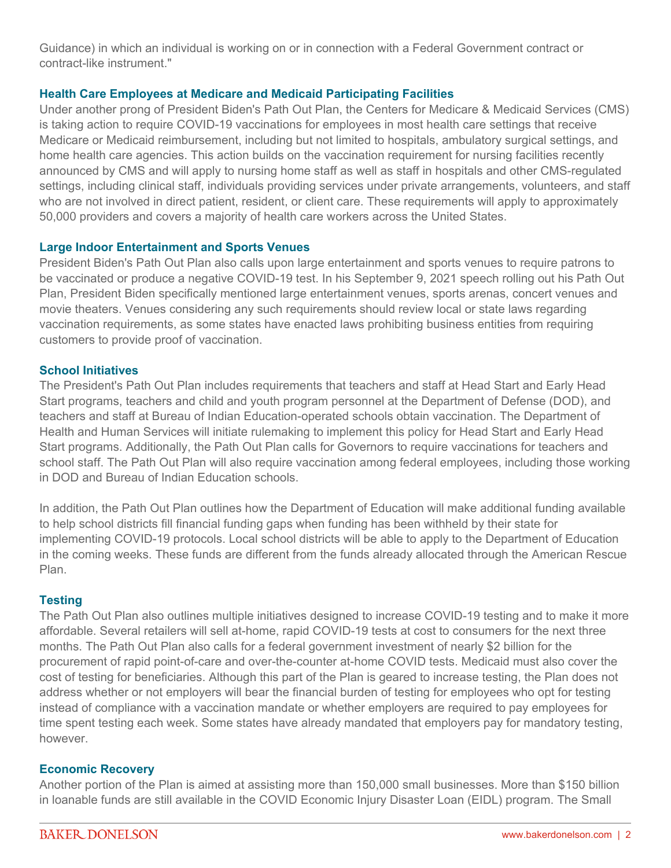Guidance) in which an individual is working on or in connection with a Federal Government contract or contract-like instrument."

# **Health Care Employees at Medicare and Medicaid Participating Facilities**

Under another prong of President Biden's Path Out Plan, the Centers for Medicare & Medicaid Services (CMS) is taking action to require COVID-19 vaccinations for employees in most health care settings that receive Medicare or Medicaid reimbursement, including but not limited to hospitals, ambulatory surgical settings, and home health care agencies. This action builds on the vaccination requirement for nursing facilities recently announced by CMS and will apply to nursing home staff as well as staff in hospitals and other CMS-regulated settings, including clinical staff, individuals providing services under private arrangements, volunteers, and staff who are not involved in direct patient, resident, or client care. These requirements will apply to approximately 50,000 providers and covers a majority of health care workers across the United States.

## **Large Indoor Entertainment and Sports Venues**

President Biden's Path Out Plan also calls upon large entertainment and sports venues to require patrons to be vaccinated or produce a negative COVID-19 test. In his September 9, 2021 speech rolling out his Path Out Plan, President Biden specifically mentioned large entertainment venues, sports arenas, concert venues and movie theaters. Venues considering any such requirements should review local or state laws regarding vaccination requirements, as some states have enacted laws prohibiting business entities from requiring customers to provide proof of vaccination.

#### **School Initiatives**

The President's Path Out Plan includes requirements that teachers and staff at Head Start and Early Head Start programs, teachers and child and youth program personnel at the Department of Defense (DOD), and teachers and staff at Bureau of Indian Education-operated schools obtain vaccination. The Department of Health and Human Services will initiate rulemaking to implement this policy for Head Start and Early Head Start programs. Additionally, the Path Out Plan calls for Governors to require vaccinations for teachers and school staff. The Path Out Plan will also require vaccination among federal employees, including those working in DOD and Bureau of Indian Education schools.

In addition, the Path Out Plan outlines how the Department of Education will make additional funding available to help school districts fill financial funding gaps when funding has been withheld by their state for implementing COVID-19 protocols. Local school districts will be able to apply to the Department of Education in the coming weeks. These funds are different from the funds already allocated through the American Rescue Plan.

## **Testing**

The Path Out Plan also outlines multiple initiatives designed to increase COVID-19 testing and to make it more affordable. Several retailers will sell at-home, rapid COVID-19 tests at cost to consumers for the next three months. The Path Out Plan also calls for a federal government investment of nearly \$2 billion for the procurement of rapid point-of-care and over-the-counter at-home COVID tests. Medicaid must also cover the cost of testing for beneficiaries. Although this part of the Plan is geared to increase testing, the Plan does not address whether or not employers will bear the financial burden of testing for employees who opt for testing instead of compliance with a vaccination mandate or whether employers are required to pay employees for time spent testing each week. Some states have already mandated that employers pay for mandatory testing, however.

#### **Economic Recovery**

Another portion of the Plan is aimed at assisting more than 150,000 small businesses. More than \$150 billion in loanable funds are still available in the COVID Economic Injury Disaster Loan (EIDL) program. The Small